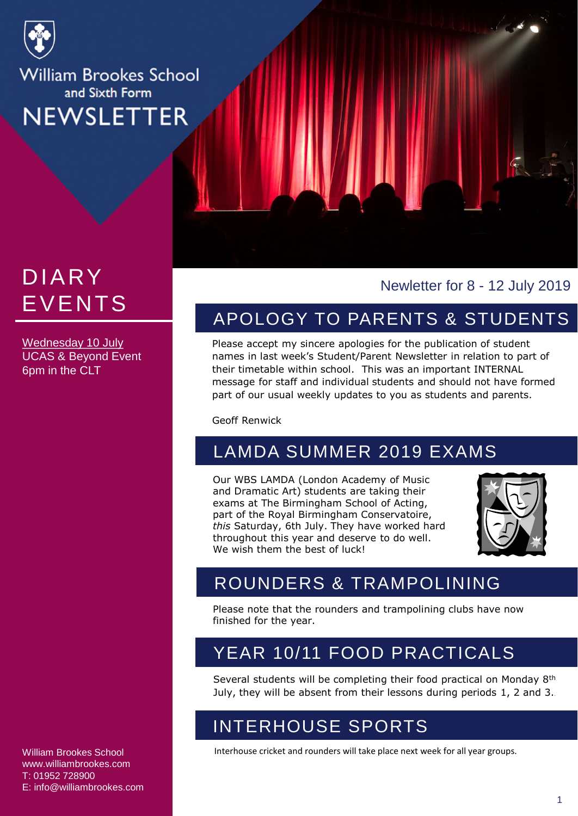

# DIARY EVENTS

Wednesday 10 July UCAS & Beyond Event 6pm in the CLT

William Brookes School www.williambrookes.com T: 01952 728900 E: info@williambrookes.com

#### Newletter for 8 - 12 July 2019

## APOLOGY TO PARENTS & STUDENTS

Please accept my sincere apologies for the publication of student names in last week's Student/Parent Newsletter in relation to part of their timetable within school. This was an important INTERNAL message for staff and individual students and should not have formed part of our usual weekly updates to you as students and parents.

Geoff Renwick

#### LAMDA SUMMER 2019 EXAMS

Our WBS LAMDA (London Academy of Music and Dramatic Art) students are taking their exams at The Birmingham School of Acting, part of the Royal Birmingham Conservatoire, *this* Saturday, 6th July. They have worked hard throughout this year and deserve to do well. We wish them the best of luck!



#### ROUNDERS & TRAMPOLINING

Please note that the rounders and trampolining clubs have now finished for the year.

### YEAR 10/11 FOOD PRACTICALS

Several students will be completing their food practical on Monday 8th July, they will be absent from their lessons during periods 1, 2 and 3..

#### INTERHOUSE SPORTS

Interhouse cricket and rounders will take place next week for all year groups.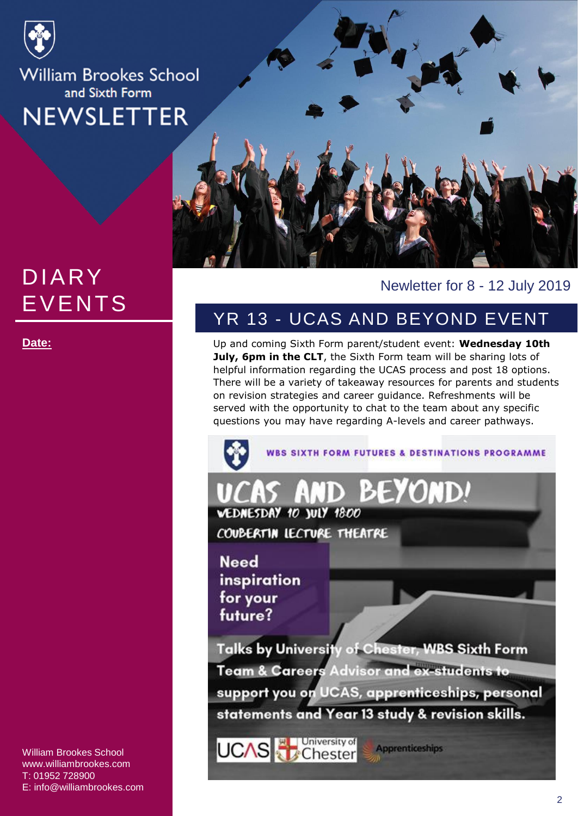

# DIARY EVENTS



William Brookes School www.williambrookes.com T: 01952 728900 E: info@williambrookes.com



#### Newletter for 8 - 12 July 2019

### YR 13 - UCAS AND BEYOND EVENT

**Date:** Up and coming Sixth Form parent/student event: Wednesday 10th **July, 6pm in the CLT**, the Sixth Form team will be sharing lots of helpful information regarding the UCAS process and post 18 options. There will be a variety of takeaway resources for parents and students on revision strategies and career guidance. Refreshments will be served with the opportunity to chat to the team about any specific questions you may have regarding A-levels and career pathways.

WBS SIXTH FORM FUTURES & DESTINATIONS PROGRAMME

#### BEYO NDJ

COUBERTIN LECTURE THEATRE

inspiration for your future?

Talks by University of Chester, WBS Sixth Form **Team & Careers Advisor and ex-students to** support you on UCAS, apprenticeships, personal statements and Year 13 study & revision skills.

**UCAS** Chester

**Apprenticeships**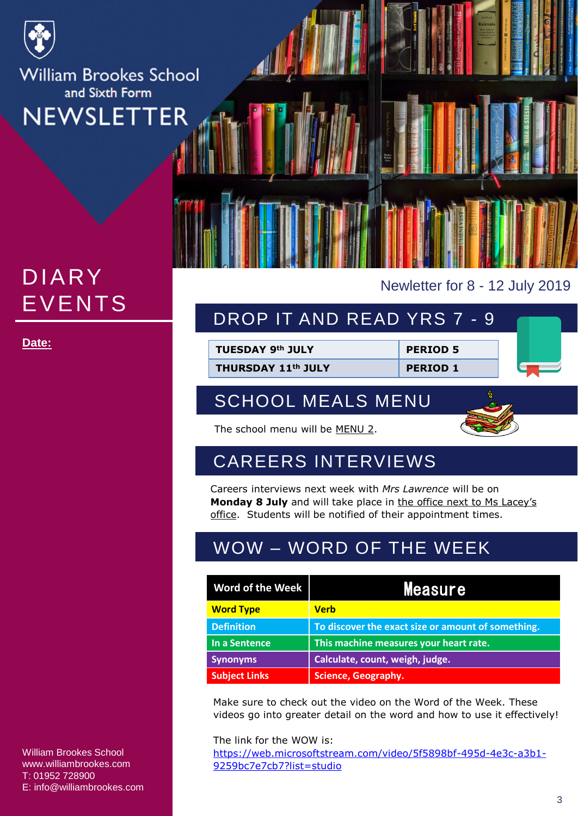

# EVENTS DIARY

 $\mathsf{Re}(\mathsf{E})$ **Date:**

Newletter for 8 - 12 July 2019

### DROP IT AND READ YRS 7 - 9

**TUESDAY 9th JULY PERIOD 5**

**THURSDAY 11th JULY PERIOD 1**

### SCHOOL MEALS MENU



The school menu will be MENU 2.

### CAREERS INTERVIEWS

Careers interviews next week with *Mrs Lawrence* will be on **Monday 8 July** and will take place in the office next to Ms Lacey's office. Students will be notified of their appointment times.

### WOW – WORD OF THE WEEK

| <b>Word of the Week</b> | <b>Measure</b>                                     |
|-------------------------|----------------------------------------------------|
| <b>Word Type</b>        | <b>Verb</b>                                        |
| <b>Definition</b>       | To discover the exact size or amount of something. |
| In a Sentence           | This machine measures your heart rate.             |
| <b>Synonyms</b>         | Calculate, count, weigh, judge.                    |
| <b>Subject Links</b>    | <b>Science, Geography.</b>                         |

Make sure to check out the video on the Word of the Week. These videos go into greater detail on the word and how to use it effectively!

The link for the WOW is: [https://web.microsoftstream.com/video/5f5898bf-495d-4e3c-a3b1-](https://web.microsoftstream.com/video/b723b852-dd01-416f-b200-7e7895c1475d?list=studio) 9259bc7e7cb7?list=studio

William Brookes School www.williambrookes.com T: 01952 728900 E: info@williambrookes.com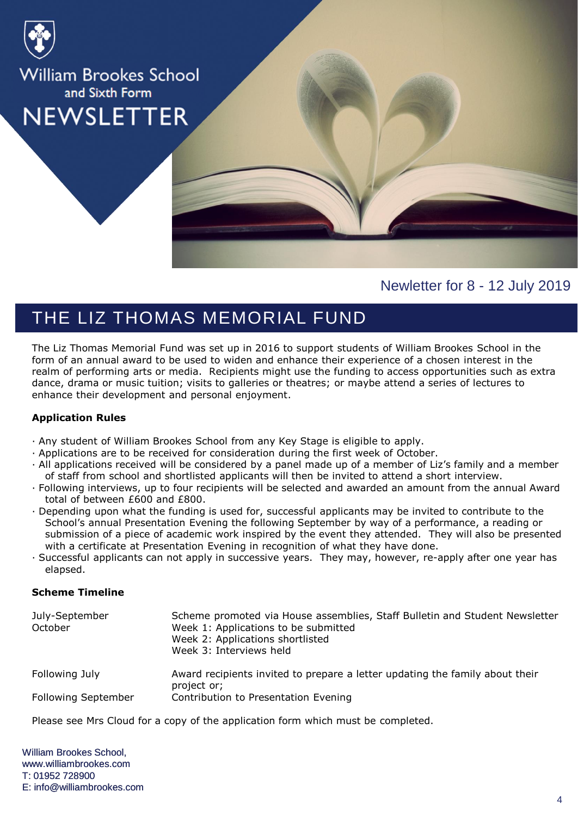

Newletter for 8 - 12 July 2019

### THE LIZ THOMAS MEMORIAL FUND

The Liz Thomas Memorial Fund was set up in 2016 to support students of William Brookes School in the form of an annual award to be used to widen and enhance their experience of a chosen interest in the realm of performing arts or media. Recipients might use the funding to access opportunities such as extra dance, drama or music tuition; visits to galleries or theatres; or maybe attend a series of lectures to enhance their development and personal enjoyment.

#### **Application Rules**

- · Any student of William Brookes School from any Key Stage is eligible to apply.
- · Applications are to be received for consideration during the first week of October.
- · All applications received will be considered by a panel made up of a member of Liz's family and a member of staff from school and shortlisted applicants will then be invited to attend a short interview.
- · Following interviews, up to four recipients will be selected and awarded an amount from the annual Award total of between £600 and £800.
- · Depending upon what the funding is used for, successful applicants may be invited to contribute to the School's annual Presentation Evening the following September by way of a performance, a reading or submission of a piece of academic work inspired by the event they attended. They will also be presented with a certificate at Presentation Evening in recognition of what they have done.
- · Successful applicants can not apply in successive years. They may, however, re-apply after one year has elapsed.

#### **Scheme Timeline**

| July-September<br>October  | Scheme promoted via House assemblies, Staff Bulletin and Student Newsletter<br>Week 1: Applications to be submitted<br>Week 2: Applications shortlisted<br>Week 3: Interviews held |
|----------------------------|------------------------------------------------------------------------------------------------------------------------------------------------------------------------------------|
| Following July             | Award recipients invited to prepare a letter updating the family about their<br>project or;                                                                                        |
| <b>Following September</b> | Contribution to Presentation Evening                                                                                                                                               |

Please see Mrs Cloud for a copy of the application form which must be completed.

William Brookes School, www.williambrookes.com T: 01952 728900 E: info@williambrookes.com